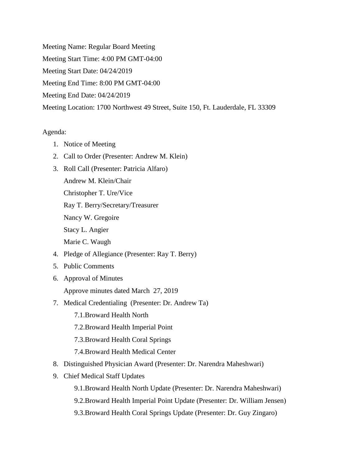Meeting Name: Regular Board Meeting Meeting Start Time: 4:00 PM GMT-04:00 Meeting Start Date: 04/24/2019 Meeting End Time: 8:00 PM GMT-04:00 Meeting End Date: 04/24/2019 Meeting Location: 1700 Northwest 49 Street, Suite 150, Ft. Lauderdale, FL 33309

## Agenda:

- 1. Notice of Meeting
- 2. Call to Order (Presenter: Andrew M. Klein)
- 3. Roll Call (Presenter: Patricia Alfaro) Andrew M. Klein/Chair Christopher T. Ure/Vice Ray T. Berry/Secretary/Treasurer Nancy W. Gregoire Stacy L. Angier Marie C. Waugh
- 4. Pledge of Allegiance (Presenter: Ray T. Berry)
- 5. Public Comments
- 6. Approval of Minutes
	- Approve minutes dated March 27, 2019
- 7. Medical Credentialing (Presenter: Dr. Andrew Ta)
	- 7.1.Broward Health North
	- 7.2.Broward Health Imperial Point
	- 7.3.Broward Health Coral Springs
	- 7.4.Broward Health Medical Center
- 8. Distinguished Physician Award (Presenter: Dr. Narendra Maheshwari)
- 9. Chief Medical Staff Updates
	- 9.1.Broward Health North Update (Presenter: Dr. Narendra Maheshwari)
	- 9.2.Broward Health Imperial Point Update (Presenter: Dr. William Jensen)
	- 9.3.Broward Health Coral Springs Update (Presenter: Dr. Guy Zingaro)